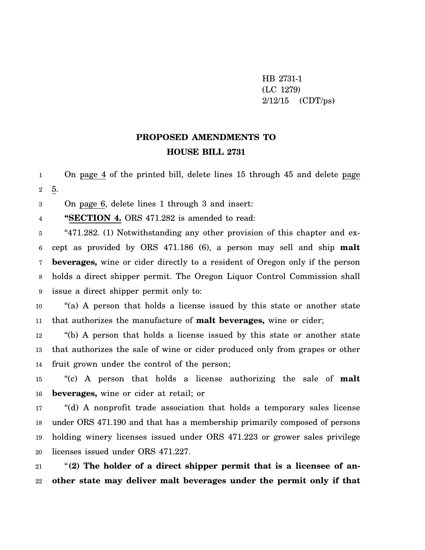HB 2731-1 (LC 1279)  $2/12/15$  (CDT/ps)

## **PROPOSED AMENDMENTS TO HOUSE BILL 2731**

1 2 On page 4 of the printed bill, delete lines 15 through 45 and delete page 5.

3 On page 6, delete lines 1 through 3 and insert:

4 **"SECTION 4.** ORS 471.282 is amended to read:

5 6 7 8 9 "471.282. (1) Notwithstanding any other provision of this chapter and except as provided by ORS 471.186 (6), a person may sell and ship **malt beverages,** wine or cider directly to a resident of Oregon only if the person holds a direct shipper permit. The Oregon Liquor Control Commission shall issue a direct shipper permit only to:

10 11 "(a) A person that holds a license issued by this state or another state that authorizes the manufacture of **malt beverages,** wine or cider;

12 13 14 "(b) A person that holds a license issued by this state or another state that authorizes the sale of wine or cider produced only from grapes or other fruit grown under the control of the person;

15 16 "(c) A person that holds a license authorizing the sale of **malt beverages,** wine or cider at retail; or

17 18 19 20 "(d) A nonprofit trade association that holds a temporary sales license under ORS 471.190 and that has a membership primarily composed of persons holding winery licenses issued under ORS 471.223 or grower sales privilege licenses issued under ORS 471.227.

21 22 "**(2) The holder of a direct shipper permit that is a licensee of another state may deliver malt beverages under the permit only if that**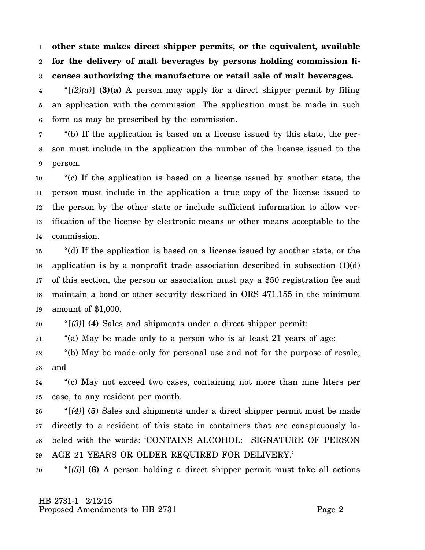1 2 3 **other state makes direct shipper permits, or the equivalent, available for the delivery of malt beverages by persons holding commission licenses authorizing the manufacture or retail sale of malt beverages.**

4 5 6 " $[(2)(a)]$  (3)(a) A person may apply for a direct shipper permit by filing an application with the commission. The application must be made in such form as may be prescribed by the commission.

7 8 9 "(b) If the application is based on a license issued by this state, the person must include in the application the number of the license issued to the person.

10 11 12 13 14 "(c) If the application is based on a license issued by another state, the person must include in the application a true copy of the license issued to the person by the other state or include sufficient information to allow verification of the license by electronic means or other means acceptable to the commission.

15 16 17 18 19 "(d) If the application is based on a license issued by another state, or the application is by a nonprofit trade association described in subsection (1)(d) of this section, the person or association must pay a \$50 registration fee and maintain a bond or other security described in ORS 471.155 in the minimum amount of \$1,000.

20 "[*(3)*] **(4)** Sales and shipments under a direct shipper permit:

21 "(a) May be made only to a person who is at least 21 years of age;

22 23 "(b) May be made only for personal use and not for the purpose of resale; and

24 25 "(c) May not exceed two cases, containing not more than nine liters per case, to any resident per month.

26 27 28 29 "[*(4)*] **(5)** Sales and shipments under a direct shipper permit must be made directly to a resident of this state in containers that are conspicuously labeled with the words: 'CONTAINS ALCOHOL: SIGNATURE OF PERSON AGE 21 YEARS OR OLDER REQUIRED FOR DELIVERY.'

30 "[*(5)*] **(6)** A person holding a direct shipper permit must take all actions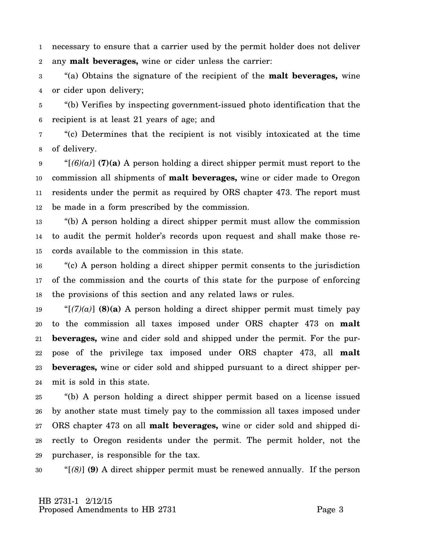1 2 necessary to ensure that a carrier used by the permit holder does not deliver any **malt beverages,** wine or cider unless the carrier:

3 4 "(a) Obtains the signature of the recipient of the **malt beverages,** wine or cider upon delivery;

5 6 "(b) Verifies by inspecting government-issued photo identification that the recipient is at least 21 years of age; and

7 8 "(c) Determines that the recipient is not visibly intoxicated at the time of delivery.

9 10 11 12 " $[(6)(a)]$  (7)(a) A person holding a direct shipper permit must report to the commission all shipments of **malt beverages,** wine or cider made to Oregon residents under the permit as required by ORS chapter 473. The report must be made in a form prescribed by the commission.

13 14 15 "(b) A person holding a direct shipper permit must allow the commission to audit the permit holder's records upon request and shall make those records available to the commission in this state.

16 17 18 "(c) A person holding a direct shipper permit consents to the jurisdiction of the commission and the courts of this state for the purpose of enforcing the provisions of this section and any related laws or rules.

19 20 21 22 23 24 " $[(7)(a)]$  (8)(a) A person holding a direct shipper permit must timely pay to the commission all taxes imposed under ORS chapter 473 on **malt beverages,** wine and cider sold and shipped under the permit. For the purpose of the privilege tax imposed under ORS chapter 473, all **malt beverages,** wine or cider sold and shipped pursuant to a direct shipper permit is sold in this state.

25 26 27 28 29 "(b) A person holding a direct shipper permit based on a license issued by another state must timely pay to the commission all taxes imposed under ORS chapter 473 on all **malt beverages,** wine or cider sold and shipped directly to Oregon residents under the permit. The permit holder, not the purchaser, is responsible for the tax.

30 "[*(8)*] **(9)** A direct shipper permit must be renewed annually. If the person